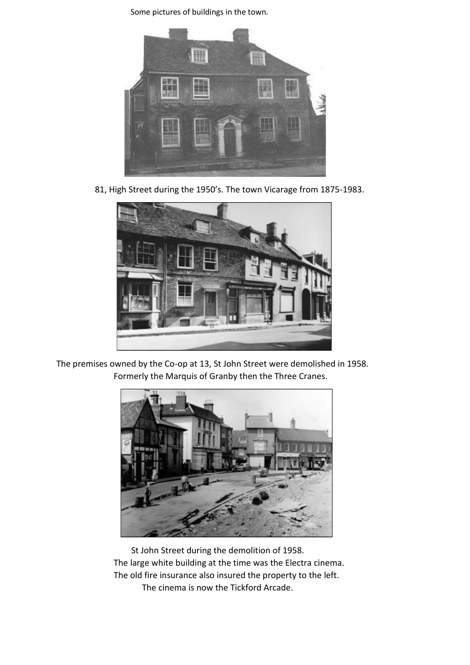

81, High Street during the 1950's. The town Vicarage from 1875-1983.



 The premises owned by the Co-op at 13, St John Street were demolished in 1958. Formerly the Marquis of Granby then the Three Cranes.



 St John Street during the demolition of 1958. The large white building at the time was the Electra cinema. The old fire insurance also insured the property to the left. The cinema is now the Tickford Arcade.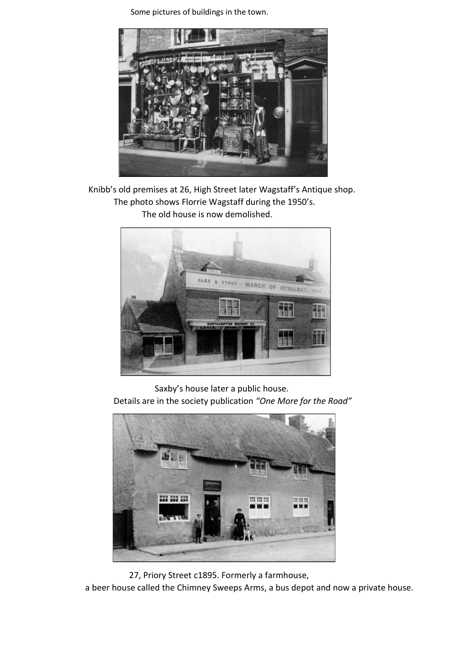

 Knibb's old premises at 26, High Street later Wagstaff's Antique shop. The photo shows Florrie Wagstaff during the 1950's. The old house is now demolished.



 Saxby's house later a public house. Details are in the society publication *"One More for the Road"*





a beer house called the Chimney Sweeps Arms, a bus depot and now a private house.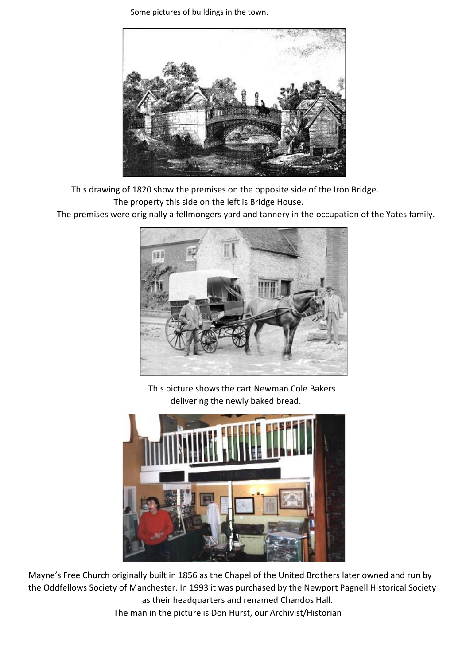

This drawing of 1820 show the premises on the opposite side of the Iron Bridge.

The property this side on the left is Bridge House.

The premises were originally a fellmongers yard and tannery in the occupation of the Yates family.



 This picture shows the cart Newman Cole Bakers delivering the newly baked bread.



Mayne's Free Church originally built in 1856 as the Chapel of the United Brothers later owned and run by the Oddfellows Society of Manchester. In 1993 it was purchased by the Newport Pagnell Historical Society as their headquarters and renamed Chandos Hall.

The man in the picture is Don Hurst, our Archivist/Historian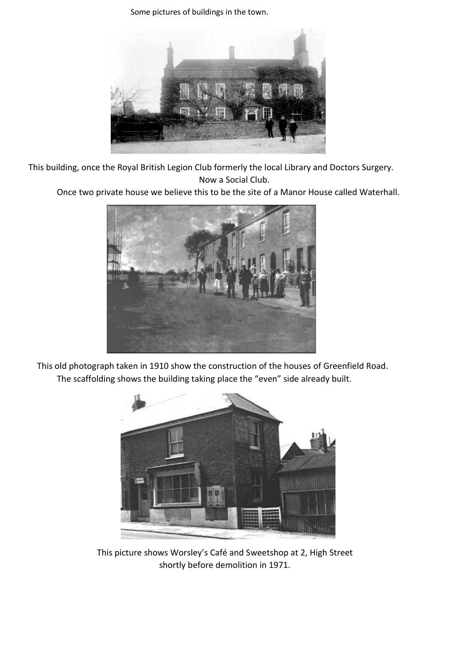

This building, once the Royal British Legion Club formerly the local Library and Doctors Surgery. Now a Social Club.

Once two private house we believe this to be the site of a Manor House called Waterhall.



 This old photograph taken in 1910 show the construction of the houses of Greenfield Road. The scaffolding shows the building taking place the "even" side already built.



 This picture shows Worsley's Café and Sweetshop at 2, High Street shortly before demolition in 1971.